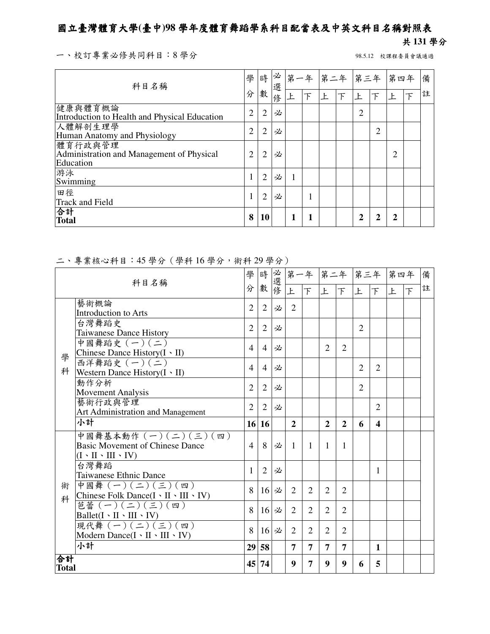## 國立臺灣體育大學**(**臺中**)98** 學年度體育舞蹈學系科目配當表及中英文科目名稱對照表

## 共 **131** 學分

一、校訂專業必修共同科目:8學分 98.5.12 校課程委員會議通過

| 科目名稱                                                              | 學              | 時              | 必<br>選 | 第一年 |   | 第二年 第三年 第四年 |   |                |                |   |  | 備 |
|-------------------------------------------------------------------|----------------|----------------|--------|-----|---|-------------|---|----------------|----------------|---|--|---|
|                                                                   | 分              | 數              | 俢      |     | F | F           | 下 | 上              |                |   |  | 註 |
| 健康與體育概論<br>Introduction to Health and Physical Education          | $\overline{2}$ | $\overline{2}$ | 必      |     |   |             |   | $\overline{2}$ |                |   |  |   |
| 人體解剖生理學<br>Human Anatomy and Physiology                           | $\overline{2}$ | $\overline{2}$ | 必      |     |   |             |   |                | $\overline{2}$ |   |  |   |
| 體育行政與管理<br>Administration and Management of Physical<br>Education | 2              | $\overline{2}$ | 必      |     |   |             |   |                |                | 2 |  |   |
| 游泳<br>Swimming                                                    |                | $\overline{2}$ | 必      | н.  |   |             |   |                |                |   |  |   |
| 田徑<br><b>Track and Field</b>                                      |                | $\overline{2}$ | 必      |     |   |             |   |                |                |   |  |   |
| 合計<br><b>Total</b>                                                | 8              | <b>10</b>      |        |     | 1 |             |   | $\mathbf 2$    | 2              | 2 |  |   |

## 二、專業核心科目:45 學分(學科 16 學分,術科 29 學分)

| 科目名稱 |                                                                                                                                                             | 學              | 時              | 必選修 |                |                |                |                | 第一年 第二年 第三年 第四年 |                  |   |                | 備 |
|------|-------------------------------------------------------------------------------------------------------------------------------------------------------------|----------------|----------------|-----|----------------|----------------|----------------|----------------|-----------------|------------------|---|----------------|---|
|      |                                                                                                                                                             | 分              | 數              |     | 上              | $\top$         | 上              | 下              | 上               | 下                | 上 | $\overline{F}$ | 註 |
|      | 藝術概論                                                                                                                                                        | $\overline{2}$ | $\overline{2}$ | 必   | $\overline{2}$ |                |                |                |                 |                  |   |                |   |
|      | <b>Introduction to Arts</b>                                                                                                                                 |                |                |     |                |                |                |                |                 |                  |   |                |   |
|      | 台灣舞蹈史                                                                                                                                                       | $\overline{2}$ | $\overline{2}$ | 必   |                |                |                |                | $\overline{2}$  |                  |   |                |   |
|      | <b>Taiwanese Dance History</b>                                                                                                                              |                |                |     |                |                |                |                |                 |                  |   |                |   |
|      | 中國舞蹈史 (一)(二)<br>Chinese Dance History(I · II)                                                                                                               | $\overline{4}$ | $\overline{4}$ | 必   |                |                | $\overline{2}$ | $\overline{2}$ |                 |                  |   |                |   |
| 學    | 西洋舞蹈史 (一)(二)                                                                                                                                                |                |                |     |                |                |                |                |                 |                  |   |                |   |
| 科    | Western Dance History $(I \cdot II)$                                                                                                                        | $\overline{4}$ | $\overline{4}$ | 必   |                |                |                |                | $\overline{2}$  | $\overline{2}$   |   |                |   |
|      | 動作分析                                                                                                                                                        | $\overline{2}$ | $\overline{2}$ | 必   |                |                |                |                | $\overline{2}$  |                  |   |                |   |
|      | <b>Movement Analysis</b>                                                                                                                                    |                |                |     |                |                |                |                |                 |                  |   |                |   |
|      | 藝術行政與管理                                                                                                                                                     | $\overline{2}$ | $\overline{2}$ | 必   |                |                |                |                |                 | 2                |   |                |   |
|      | Art Administration and Management                                                                                                                           |                |                |     |                |                |                |                |                 |                  |   |                |   |
|      | 小計                                                                                                                                                          | 16             | <b>16</b>      |     | $\overline{2}$ |                | $\overline{2}$ | $\overline{2}$ | 6               | $\blacktriangle$ |   |                |   |
|      | 中國舞基本動作 (一)(二)(三)(四)                                                                                                                                        |                |                |     |                |                |                |                |                 |                  |   |                |   |
|      | <b>Basic Movement of Chinese Dance</b>                                                                                                                      | $\overline{4}$ | 8              | 必   | $\mathbf{1}$   | -1             | $\mathbf{1}$   | $\mathbf{1}$   |                 |                  |   |                |   |
|      | $(I \cdot II \cdot III \cdot IV)$                                                                                                                           |                |                |     |                |                |                |                |                 |                  |   |                |   |
|      | 台灣舞蹈                                                                                                                                                        | 1              | $\overline{2}$ | 必   |                |                |                |                |                 | 1                |   |                |   |
|      | Taiwanese Ethnic Dance                                                                                                                                      |                |                |     |                |                |                |                |                 |                  |   |                |   |
| 術    | 中國舞 (一)(二)(三)(四)                                                                                                                                            | 8              | 16             | 必   | 2              | 2              | 2              | 2              |                 |                  |   |                |   |
| 科    | Chinese Folk Dance(I \ II \ III \ IV)                                                                                                                       |                |                |     |                |                |                |                |                 |                  |   |                |   |
|      | 芭蕾 (一)(二)(三)(四)                                                                                                                                             | 8              | 16             | 必   | 2              | $\overline{2}$ | $\overline{2}$ | $\overline{2}$ |                 |                  |   |                |   |
|      | $\frac{\text{Ballet}(\text{I} \cdot \text{II} \cdot \text{III} \cdot \text{IV})}{\text{R} \cdot \text{R} \cdot \text{R} \cdot \text{R}}$<br>(一) (二) (三) (四) |                |                |     |                |                |                |                |                 |                  |   |                |   |
|      |                                                                                                                                                             | 8              | 16             | 必   | 2              | $\overline{2}$ | $\overline{2}$ | $\overline{2}$ |                 |                  |   |                |   |
|      | Modern Dance( $I \cdot II \cdot III \cdot IV$ )                                                                                                             |                |                |     |                |                |                |                |                 |                  |   |                |   |
|      | 小計                                                                                                                                                          | 29             | 58             |     | 7              | 7              | 7              | 7              |                 | $\mathbf{1}$     |   |                |   |
|      | 合計<br><b>Total</b>                                                                                                                                          |                |                |     | 9              | 7              | 9              | 9              | 6               | 5                |   |                |   |
|      |                                                                                                                                                             |                |                |     |                |                |                |                |                 |                  |   |                |   |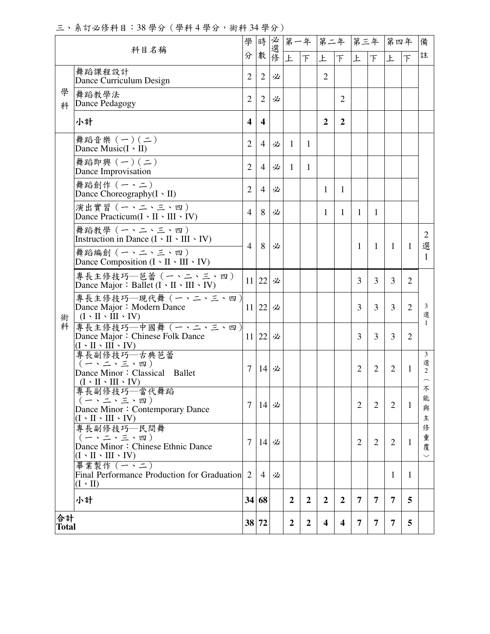三、系訂必修科目:38 學分(學科 4 學分,術科 34 學分)

|                      | 科目名稱                                                                                         |                         |                         |     | 第一年              |                  | 第二年                 |                  | 第三年            |                | 第四年            |                | 備<br>註                   |
|----------------------|----------------------------------------------------------------------------------------------|-------------------------|-------------------------|-----|------------------|------------------|---------------------|------------------|----------------|----------------|----------------|----------------|--------------------------|
|                      | 舞蹈課程設計                                                                                       | 分                       | 數                       | 必選修 | 上                | $\top$           | 上<br>$\overline{2}$ | $\top$           | 上              | 下              | 上              | 下              |                          |
| 學                    | Dance Curriculum Design                                                                      | $\overline{2}$          | $\overline{2}$          | 必   |                  |                  |                     |                  |                |                |                |                |                          |
| 科                    | 舞蹈教學法<br>Dance Pedagogy                                                                      | 2                       | $\overline{2}$          | 必   |                  |                  |                     | $\overline{2}$   |                |                |                |                |                          |
|                      | 小計                                                                                           | $\overline{\mathbf{4}}$ | $\overline{\mathbf{4}}$ |     |                  |                  | $\overline{2}$      | $\boldsymbol{2}$ |                |                |                |                |                          |
|                      | 舞蹈音樂 (一)(二)<br>Dance Music $(I \cdot II)$                                                    | $\overline{2}$          | $\overline{4}$          | 必   | $\mathbf{1}$     | $\mathbf{1}$     |                     |                  |                |                |                |                |                          |
|                      | 舞蹈即興 (一)(二)<br>Dance Improvisation                                                           | $\overline{2}$          | $\overline{4}$          | 必   | $\mathbf{1}$     | 1                |                     |                  |                |                |                |                |                          |
|                      | 舞蹈創作 (一、二)<br>Dance Choreography(I · II)                                                     | $\overline{2}$          | $\overline{4}$          | 必   |                  |                  | 1                   | $\mathbf{1}$     |                |                |                |                |                          |
|                      | 演出實習 (一、二、三、四)<br>Dance Practicum $(I \cdot II \cdot III \cdot IV)$                          | $\overline{4}$          | 8                       | 必   |                  |                  | 1                   | $\mathbf{1}$     | $\mathbf{1}$   | 1              |                |                |                          |
| 術                    | 舞蹈教學 (一、二、三、四)<br>Instruction in Dance $(I \cdot II \cdot III \cdot IV)$                     |                         |                         |     |                  |                  |                     |                  |                |                |                |                | 2                        |
|                      | 舞蹈編創 (一、二、三、四)<br>Dance Composition $(I \cdot II \cdot III \cdot IV)$                        | 4                       | 8                       | 必   |                  |                  |                     |                  | $\mathbf{1}$   | 1              | $\mathbf{1}$   | $\mathbf{1}$   | 選<br>1                   |
|                      | 專長主修技巧—芭蕾(一、二、三、四)<br>Dance Major: Ballet $(I \cdot II \cdot III \cdot IV)$                  |                         | 11 22                   | 必   |                  |                  |                     |                  | 3              | $\overline{3}$ | $\overline{3}$ | $\overline{2}$ |                          |
|                      | 專長主修技巧–現代舞 (一、二、三、四)<br>Dance Major: Modern Dance<br>$(I \cdot II \cdot III \cdot IV)$       |                         | 11 22                   | 必   |                  |                  |                     |                  | 3              | 3              | 3              | $\overline{2}$ | 3<br>選                   |
| 科                    | 專長主修技巧–中國舞 (一、二、三、四)<br>Dance Major: Chinese Folk Dance<br>$(I \cdot II \cdot III \cdot IV)$ |                         | 11 22                   | 必   |                  |                  |                     |                  | 3              | 3              | 3              | $\overline{2}$ | $\mathbf{1}$             |
|                      | 專長副修技巧—古典芭蕾<br>Dance Minor: Classical Ballet<br>$(I \cdot II \cdot III \cdot IV)$            | 7                       | 14                      | 必   |                  |                  |                     |                  | 2              | $\overline{2}$ | $\overline{2}$ | 1              | 3<br>選<br>$\overline{2}$ |
|                      | 專長副修技巧—當代舞蹈<br>Dance Minor: Contemporary Dance<br>$(I \cdot II \cdot III \cdot IV)$          | 7                       | 14                      | 必   |                  |                  |                     |                  | $\overline{2}$ | $\overline{2}$ | 2              | 1              | 不<br>能<br>與<br>主         |
|                      | 專長副修技巧––民間舞<br>Dance Minor: Chinese Ethnic Dance<br>$(I \cdot II \cdot III \cdot IV)$        | 7                       | 14                      | 必   |                  |                  |                     |                  | $\overline{2}$ | 2              | 2              | $\mathbf{1}$   | 俢<br>重<br>覆<br>$\smile$  |
|                      | 畢業製作 (一、二)<br>Final Performance Production for Graduation<br>$(I \cdot II)$                  | 2                       | 4                       | 必   |                  |                  |                     |                  |                |                | 1              | 1              |                          |
|                      | 小計                                                                                           |                         | 34 68                   |     | $\overline{2}$   | $\boldsymbol{2}$ | $\mathbf{2}$        | $\boldsymbol{2}$ | 7              | 7              | 7              | 5              |                          |
| 合計<br>38 72<br>Total |                                                                                              |                         |                         |     | $\boldsymbol{2}$ | $\boldsymbol{2}$ | 4                   | 4                | 7              | 7              | 7              | 5              |                          |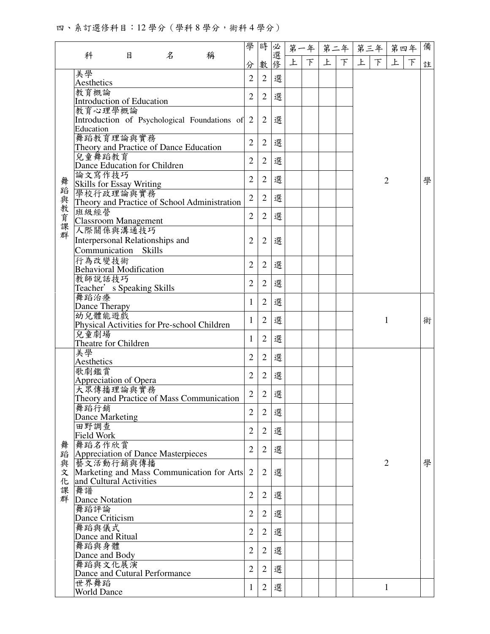四、系訂選修科目:12 學分(學科 8 學分,術科 4 學分)

|         |                                          |                                             |   | 學                                              | 時              | 必              |    | 第一年 |   | 第二年 | 第三年           | 第四年         | 備              |   |
|---------|------------------------------------------|---------------------------------------------|---|------------------------------------------------|----------------|----------------|----|-----|---|-----|---------------|-------------|----------------|---|
|         | 科                                        | 目                                           | 名 | 稱                                              | 分              | 數              | 選修 | 上   | F | 上   | $\mathcal{F}$ | $\top$<br>上 | 上<br>$\top$    | 註 |
|         | 美學                                       |                                             |   |                                                | $\overline{2}$ | $\overline{2}$ | 選  |     |   |     |               |             |                |   |
|         | Aesthetics                               |                                             |   |                                                |                |                |    |     |   |     |               |             |                |   |
|         | 教育概論<br><b>Introduction of Education</b> |                                             |   |                                                | $\overline{2}$ | $\overline{2}$ | 選  |     |   |     |               |             |                |   |
|         | 教育心理學概論                                  |                                             |   |                                                |                |                |    |     |   |     |               |             |                |   |
|         |                                          |                                             |   | Introduction of Psychological Foundations of 2 |                | $\overline{2}$ | 選  |     |   |     |               |             |                |   |
|         | Education<br>舞蹈教育理論與實務                   |                                             |   |                                                |                |                |    |     |   |     |               |             |                |   |
|         | Theory and Practice of Dance Education   |                                             |   |                                                | $\overline{2}$ | $\overline{2}$ | 選  |     |   |     |               |             |                |   |
|         | 兒童舞蹈教育                                   |                                             |   |                                                | $\overline{2}$ | 2              | 選  |     |   |     |               |             |                |   |
|         | Dance Education for Children             |                                             |   |                                                |                |                |    |     |   |     |               |             |                |   |
|         | 論文寫作技巧<br>Skills for Essay Writing       |                                             |   |                                                | $\overline{2}$ | $\overline{2}$ | 選  |     |   |     |               |             | $\overline{2}$ | 學 |
|         | 學校行政理論與實務                                |                                             |   |                                                | $\overline{2}$ | $\overline{2}$ | 選  |     |   |     |               |             |                |   |
|         |                                          |                                             |   | Theory and Practice of School Administration   |                |                |    |     |   |     |               |             |                |   |
|         | 班級經營<br><b>Classroom Management</b>      |                                             |   |                                                | $\overline{2}$ | $\overline{2}$ | 選  |     |   |     |               |             |                |   |
| 舞蹈與教育課群 | 人際關係與溝通技巧                                |                                             |   |                                                |                |                |    |     |   |     |               |             |                |   |
|         | Interpersonal Relationships and          |                                             |   |                                                | $\overline{2}$ | 2              | 選  |     |   |     |               |             |                |   |
|         | Communication Skills                     |                                             |   |                                                |                |                |    |     |   |     |               |             |                |   |
|         | 行為改變技術                                   |                                             |   |                                                | $\overline{2}$ | $\overline{2}$ | 選  |     |   |     |               |             |                |   |
|         | <b>Behavioral Modification</b><br>教師說話技巧 |                                             |   |                                                |                |                |    |     |   |     |               |             |                |   |
|         | Teacher's Speaking Skills                |                                             |   |                                                | $\overline{2}$ | $\overline{2}$ | 選  |     |   |     |               |             |                |   |
|         | 舞蹈治療                                     |                                             |   |                                                | 1              | $\overline{2}$ | 選  |     |   |     |               |             |                |   |
|         | Dance Therapy<br>幼兒體能遊戲                  |                                             |   |                                                |                |                |    |     |   |     |               |             |                |   |
|         |                                          |                                             |   |                                                | 1              | $\overline{2}$ | 選  |     |   |     |               |             | 1              | 術 |
|         | 兒童劇場                                     | Physical Activities for Pre-school Children |   |                                                |                |                |    |     |   |     |               |             |                |   |
|         | Theatre for Children                     |                                             |   |                                                | 1              | $\overline{2}$ | 選  |     |   |     |               |             |                |   |
|         | 美學<br>Aesthetics                         |                                             |   |                                                | $\overline{2}$ | $\overline{2}$ | 選  |     |   |     |               |             |                |   |
|         | 歌劇鑑賞                                     |                                             |   |                                                | $\overline{2}$ |                |    |     |   |     |               |             |                |   |
|         | <b>Appreciation of Opera</b>             |                                             |   |                                                |                | $\overline{2}$ | 選  |     |   |     |               |             |                |   |
|         | 大眾傳播理論與實務                                |                                             |   | Theory and Practice of Mass Communication      | $\overline{2}$ | $\mathbf{2}$   | 選  |     |   |     |               |             |                |   |
|         | 舞蹈行銷                                     |                                             |   |                                                |                |                |    |     |   |     |               |             |                |   |
|         | <b>Dance Marketing</b>                   |                                             |   |                                                | $\overline{2}$ | $\overline{2}$ | 選  |     |   |     |               |             |                |   |
|         | 田野調查                                     |                                             |   |                                                | $\overline{2}$ | $\overline{2}$ | 選  |     |   |     |               |             |                |   |
|         | Field Work<br>舞蹈名作欣賞                     |                                             |   |                                                |                |                |    |     |   |     |               |             |                |   |
| 舞蹈      | Appreciation of Dance Masterpieces       |                                             |   |                                                | $\overline{2}$ | $\overline{2}$ | 選  |     |   |     |               |             |                |   |
| 與       | 藝文活動行銷與傳播                                |                                             |   |                                                |                |                |    |     |   |     |               |             | $\overline{2}$ | 學 |
| 文       |                                          |                                             |   | Marketing and Mass Communication for Arts 2    |                | $\overline{2}$ | 選  |     |   |     |               |             |                |   |
| 化<br>課  | and Cultural Activities<br>舞譜            |                                             |   |                                                | $\overline{2}$ | $\overline{2}$ |    |     |   |     |               |             |                |   |
|         | 群 Dance Notation                         |                                             |   |                                                |                |                | 選  |     |   |     |               |             |                |   |
|         | 舞蹈評論                                     |                                             |   |                                                |                |                |    |     |   |     |               |             |                |   |
|         | Dance Criticism                          |                                             |   |                                                | $\overline{2}$ | $\overline{2}$ | 選  |     |   |     |               |             |                |   |
|         |                                          | 舞蹈與儀式<br>Dance and Ritual                   |   |                                                |                |                |    |     |   |     |               |             |                |   |
|         | 舞蹈與身體                                    |                                             |   |                                                |                |                |    |     |   |     |               |             |                |   |
|         | Dance and Body                           |                                             |   |                                                | $\overline{2}$ | $\overline{2}$ | 選  |     |   |     |               |             |                |   |
|         | 舞蹈與文化展演<br>Dance and Cutural Performance |                                             |   |                                                | $\overline{2}$ | $\overline{2}$ | 選  |     |   |     |               |             |                |   |
|         | 世界舞蹈                                     |                                             |   |                                                |                |                |    |     |   |     |               |             |                |   |
|         | <b>World Dance</b>                       |                                             |   |                                                | 1              | $\overline{2}$ | 選  |     |   |     |               |             | $\mathbf{1}$   |   |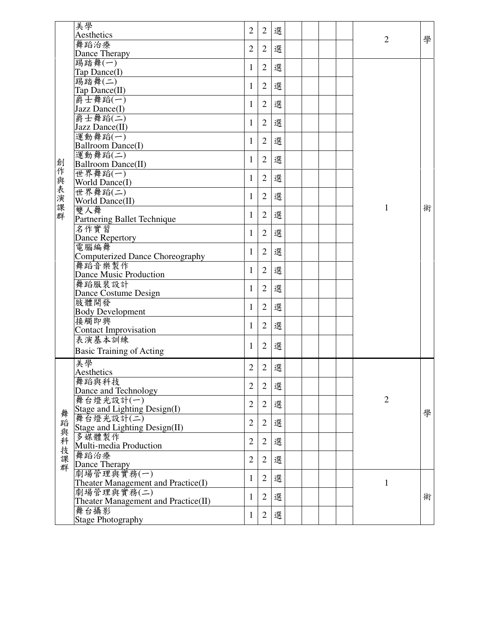| 選<br>$\overline{2}$<br>$\mathbf{2}$<br>Aesthetics<br>學<br>$\overline{2}$<br>舞蹈治療<br>$\overline{2}$<br>選<br>$\mathbf{2}$<br>Dance Therapy<br>踢踏舞(一)<br>選<br>$\overline{2}$<br>1<br>Tap Dance(I)<br>踢踏舞(二)<br>選<br>$\overline{2}$<br>1<br>Tap Dance(II)<br>爵士舞蹈(一)<br>選<br>$\overline{2}$<br>1<br>Jazz Dance(I)<br>爵士舞蹈(二)<br>選<br>$\overline{2}$<br>1<br>Jazz Dance(II)<br>運動舞蹈(一)<br>選<br>$\overline{2}$<br>1<br>Ballroom Dance(I)<br>運動舞蹈(二)<br>選<br>$\mathbf{2}$<br>1<br>創作與表演課群<br>Ballroom Dance(II)<br>世界舞蹈(一)<br>選<br>$\overline{2}$<br>1<br>World Dance(I)<br>世界舞蹈(二)<br>選<br>$\overline{2}$<br>1<br>World Dance(II)<br>1<br>術<br>雙人舞<br>選<br>$\overline{2}$<br>1<br>Partnering Ballet Technique<br>名作實習<br>選<br>$\overline{2}$<br>1<br><b>Dance Repertory</b><br>電腦編舞<br>選<br>$\mathbf{2}$<br>1<br><b>Computerized Dance Choreography</b><br>舞蹈音樂製作<br>選<br>$\overline{2}$<br>1<br>Dance Music Production<br>舞蹈服裝設計<br>選<br>$\overline{2}$<br>1<br>Dance Costume Design<br>肢體開發<br>選<br>$\overline{2}$<br>1 |                         |  |  |  |  |   |
|---------------------------------------------------------------------------------------------------------------------------------------------------------------------------------------------------------------------------------------------------------------------------------------------------------------------------------------------------------------------------------------------------------------------------------------------------------------------------------------------------------------------------------------------------------------------------------------------------------------------------------------------------------------------------------------------------------------------------------------------------------------------------------------------------------------------------------------------------------------------------------------------------------------------------------------------------------------------------------------------------------------------|-------------------------|--|--|--|--|---|
|                                                                                                                                                                                                                                                                                                                                                                                                                                                                                                                                                                                                                                                                                                                                                                                                                                                                                                                                                                                                                     | 美學                      |  |  |  |  |   |
|                                                                                                                                                                                                                                                                                                                                                                                                                                                                                                                                                                                                                                                                                                                                                                                                                                                                                                                                                                                                                     |                         |  |  |  |  |   |
|                                                                                                                                                                                                                                                                                                                                                                                                                                                                                                                                                                                                                                                                                                                                                                                                                                                                                                                                                                                                                     |                         |  |  |  |  |   |
|                                                                                                                                                                                                                                                                                                                                                                                                                                                                                                                                                                                                                                                                                                                                                                                                                                                                                                                                                                                                                     |                         |  |  |  |  |   |
|                                                                                                                                                                                                                                                                                                                                                                                                                                                                                                                                                                                                                                                                                                                                                                                                                                                                                                                                                                                                                     |                         |  |  |  |  |   |
|                                                                                                                                                                                                                                                                                                                                                                                                                                                                                                                                                                                                                                                                                                                                                                                                                                                                                                                                                                                                                     |                         |  |  |  |  |   |
|                                                                                                                                                                                                                                                                                                                                                                                                                                                                                                                                                                                                                                                                                                                                                                                                                                                                                                                                                                                                                     |                         |  |  |  |  |   |
|                                                                                                                                                                                                                                                                                                                                                                                                                                                                                                                                                                                                                                                                                                                                                                                                                                                                                                                                                                                                                     |                         |  |  |  |  |   |
|                                                                                                                                                                                                                                                                                                                                                                                                                                                                                                                                                                                                                                                                                                                                                                                                                                                                                                                                                                                                                     |                         |  |  |  |  |   |
|                                                                                                                                                                                                                                                                                                                                                                                                                                                                                                                                                                                                                                                                                                                                                                                                                                                                                                                                                                                                                     |                         |  |  |  |  |   |
|                                                                                                                                                                                                                                                                                                                                                                                                                                                                                                                                                                                                                                                                                                                                                                                                                                                                                                                                                                                                                     |                         |  |  |  |  |   |
|                                                                                                                                                                                                                                                                                                                                                                                                                                                                                                                                                                                                                                                                                                                                                                                                                                                                                                                                                                                                                     |                         |  |  |  |  |   |
|                                                                                                                                                                                                                                                                                                                                                                                                                                                                                                                                                                                                                                                                                                                                                                                                                                                                                                                                                                                                                     |                         |  |  |  |  |   |
|                                                                                                                                                                                                                                                                                                                                                                                                                                                                                                                                                                                                                                                                                                                                                                                                                                                                                                                                                                                                                     |                         |  |  |  |  |   |
|                                                                                                                                                                                                                                                                                                                                                                                                                                                                                                                                                                                                                                                                                                                                                                                                                                                                                                                                                                                                                     |                         |  |  |  |  |   |
|                                                                                                                                                                                                                                                                                                                                                                                                                                                                                                                                                                                                                                                                                                                                                                                                                                                                                                                                                                                                                     |                         |  |  |  |  |   |
|                                                                                                                                                                                                                                                                                                                                                                                                                                                                                                                                                                                                                                                                                                                                                                                                                                                                                                                                                                                                                     |                         |  |  |  |  |   |
|                                                                                                                                                                                                                                                                                                                                                                                                                                                                                                                                                                                                                                                                                                                                                                                                                                                                                                                                                                                                                     |                         |  |  |  |  |   |
|                                                                                                                                                                                                                                                                                                                                                                                                                                                                                                                                                                                                                                                                                                                                                                                                                                                                                                                                                                                                                     |                         |  |  |  |  |   |
|                                                                                                                                                                                                                                                                                                                                                                                                                                                                                                                                                                                                                                                                                                                                                                                                                                                                                                                                                                                                                     |                         |  |  |  |  |   |
|                                                                                                                                                                                                                                                                                                                                                                                                                                                                                                                                                                                                                                                                                                                                                                                                                                                                                                                                                                                                                     |                         |  |  |  |  |   |
|                                                                                                                                                                                                                                                                                                                                                                                                                                                                                                                                                                                                                                                                                                                                                                                                                                                                                                                                                                                                                     |                         |  |  |  |  |   |
|                                                                                                                                                                                                                                                                                                                                                                                                                                                                                                                                                                                                                                                                                                                                                                                                                                                                                                                                                                                                                     |                         |  |  |  |  |   |
|                                                                                                                                                                                                                                                                                                                                                                                                                                                                                                                                                                                                                                                                                                                                                                                                                                                                                                                                                                                                                     |                         |  |  |  |  |   |
|                                                                                                                                                                                                                                                                                                                                                                                                                                                                                                                                                                                                                                                                                                                                                                                                                                                                                                                                                                                                                     |                         |  |  |  |  |   |
|                                                                                                                                                                                                                                                                                                                                                                                                                                                                                                                                                                                                                                                                                                                                                                                                                                                                                                                                                                                                                     |                         |  |  |  |  |   |
|                                                                                                                                                                                                                                                                                                                                                                                                                                                                                                                                                                                                                                                                                                                                                                                                                                                                                                                                                                                                                     |                         |  |  |  |  |   |
|                                                                                                                                                                                                                                                                                                                                                                                                                                                                                                                                                                                                                                                                                                                                                                                                                                                                                                                                                                                                                     |                         |  |  |  |  |   |
|                                                                                                                                                                                                                                                                                                                                                                                                                                                                                                                                                                                                                                                                                                                                                                                                                                                                                                                                                                                                                     |                         |  |  |  |  |   |
|                                                                                                                                                                                                                                                                                                                                                                                                                                                                                                                                                                                                                                                                                                                                                                                                                                                                                                                                                                                                                     |                         |  |  |  |  |   |
|                                                                                                                                                                                                                                                                                                                                                                                                                                                                                                                                                                                                                                                                                                                                                                                                                                                                                                                                                                                                                     | <b>Body Development</b> |  |  |  |  |   |
| 接觸即興<br>選<br>$\overline{2}$<br>1                                                                                                                                                                                                                                                                                                                                                                                                                                                                                                                                                                                                                                                                                                                                                                                                                                                                                                                                                                                    |                         |  |  |  |  |   |
| <b>Contact Improvisation</b>                                                                                                                                                                                                                                                                                                                                                                                                                                                                                                                                                                                                                                                                                                                                                                                                                                                                                                                                                                                        |                         |  |  |  |  |   |
| 表演基本訓練                                                                                                                                                                                                                                                                                                                                                                                                                                                                                                                                                                                                                                                                                                                                                                                                                                                                                                                                                                                                              |                         |  |  |  |  |   |
| 選<br>$\overline{2}$<br>1<br><b>Basic Training of Acting</b>                                                                                                                                                                                                                                                                                                                                                                                                                                                                                                                                                                                                                                                                                                                                                                                                                                                                                                                                                         |                         |  |  |  |  |   |
|                                                                                                                                                                                                                                                                                                                                                                                                                                                                                                                                                                                                                                                                                                                                                                                                                                                                                                                                                                                                                     |                         |  |  |  |  |   |
| 美學<br>選<br>$\overline{2}$<br>$\overline{2}$<br>Aesthetics                                                                                                                                                                                                                                                                                                                                                                                                                                                                                                                                                                                                                                                                                                                                                                                                                                                                                                                                                           |                         |  |  |  |  |   |
|                                                                                                                                                                                                                                                                                                                                                                                                                                                                                                                                                                                                                                                                                                                                                                                                                                                                                                                                                                                                                     |                         |  |  |  |  |   |
| 舞蹈與科技<br>選<br>$\overline{2}$<br>$\overline{2}$<br>Dance and Technology                                                                                                                                                                                                                                                                                                                                                                                                                                                                                                                                                                                                                                                                                                                                                                                                                                                                                                                                              |                         |  |  |  |  |   |
| $\overline{2}$<br>舞台燈光設計(一)                                                                                                                                                                                                                                                                                                                                                                                                                                                                                                                                                                                                                                                                                                                                                                                                                                                                                                                                                                                         |                         |  |  |  |  |   |
| 選<br>$\mathbf{2}$<br>$\overline{c}$<br>Stage and Lighting Design(I)                                                                                                                                                                                                                                                                                                                                                                                                                                                                                                                                                                                                                                                                                                                                                                                                                                                                                                                                                 |                         |  |  |  |  |   |
| 舞蹈<br>舞台燈光設計(二)                                                                                                                                                                                                                                                                                                                                                                                                                                                                                                                                                                                                                                                                                                                                                                                                                                                                                                                                                                                                     |                         |  |  |  |  | 學 |
| $\overline{2}$<br>選<br>$\overline{2}$<br>Stage and Lighting Design(II)                                                                                                                                                                                                                                                                                                                                                                                                                                                                                                                                                                                                                                                                                                                                                                                                                                                                                                                                              |                         |  |  |  |  |   |
| 與科技課群<br>多媒體製作                                                                                                                                                                                                                                                                                                                                                                                                                                                                                                                                                                                                                                                                                                                                                                                                                                                                                                                                                                                                      |                         |  |  |  |  |   |
| 選<br>$\overline{2}$<br>$\overline{2}$<br>Multi-media Production                                                                                                                                                                                                                                                                                                                                                                                                                                                                                                                                                                                                                                                                                                                                                                                                                                                                                                                                                     |                         |  |  |  |  |   |
| 舞蹈治療                                                                                                                                                                                                                                                                                                                                                                                                                                                                                                                                                                                                                                                                                                                                                                                                                                                                                                                                                                                                                |                         |  |  |  |  |   |
| $\overline{2}$<br>選<br>$\overline{2}$<br>Dance Therapy                                                                                                                                                                                                                                                                                                                                                                                                                                                                                                                                                                                                                                                                                                                                                                                                                                                                                                                                                              |                         |  |  |  |  |   |
| 劇場管理與實務(一)                                                                                                                                                                                                                                                                                                                                                                                                                                                                                                                                                                                                                                                                                                                                                                                                                                                                                                                                                                                                          |                         |  |  |  |  |   |
| 選<br>$\overline{2}$<br>1<br>Theater Management and Practice(I)<br>$\mathbf{1}$                                                                                                                                                                                                                                                                                                                                                                                                                                                                                                                                                                                                                                                                                                                                                                                                                                                                                                                                      |                         |  |  |  |  |   |
| 劇場管理與實務(二)                                                                                                                                                                                                                                                                                                                                                                                                                                                                                                                                                                                                                                                                                                                                                                                                                                                                                                                                                                                                          |                         |  |  |  |  |   |
| 選<br>$\overline{2}$<br>1<br>Theater Management and Practice(II)                                                                                                                                                                                                                                                                                                                                                                                                                                                                                                                                                                                                                                                                                                                                                                                                                                                                                                                                                     |                         |  |  |  |  | 術 |
| 舞台攝影                                                                                                                                                                                                                                                                                                                                                                                                                                                                                                                                                                                                                                                                                                                                                                                                                                                                                                                                                                                                                |                         |  |  |  |  |   |
| 選<br>$\overline{2}$<br>$\mathbf{1}$<br><b>Stage Photography</b>                                                                                                                                                                                                                                                                                                                                                                                                                                                                                                                                                                                                                                                                                                                                                                                                                                                                                                                                                     |                         |  |  |  |  |   |